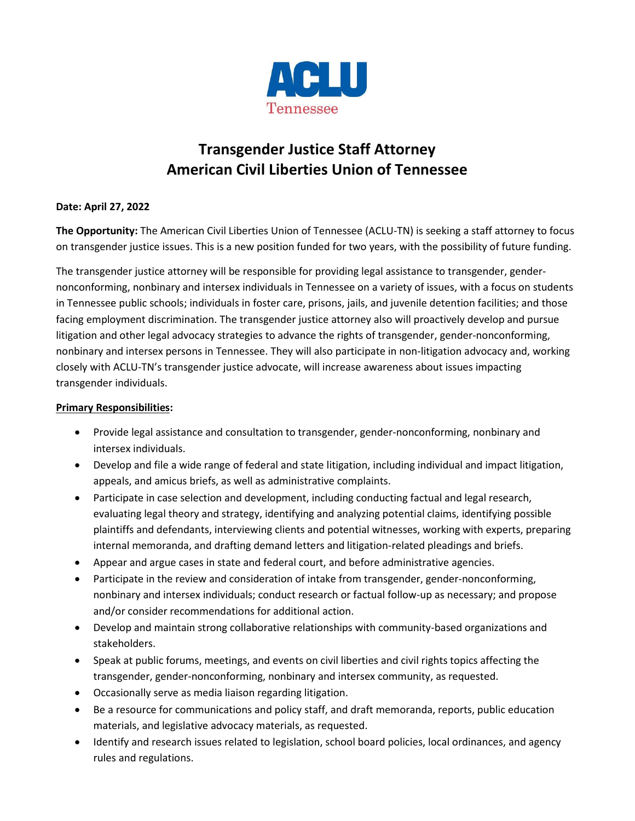

# **Transgender Justice Staff Attorney American Civil Liberties Union of Tennessee**

# **Date: April 27, 2022**

**The Opportunity:** The American Civil Liberties Union of Tennessee (ACLU-TN) is seeking a staff attorney to focus on transgender justice issues. This is a new position funded for two years, with the possibility of future funding.

The transgender justice attorney will be responsible for providing legal assistance to transgender, gendernonconforming, nonbinary and intersex individuals in Tennessee on a variety of issues, with a focus on students in Tennessee public schools; individuals in foster care, prisons, jails, and juvenile detention facilities; and those facing employment discrimination. The transgender justice attorney also will proactively develop and pursue litigation and other legal advocacy strategies to advance the rights of transgender, gender-nonconforming, nonbinary and intersex persons in Tennessee. They will also participate in non-litigation advocacy and, working closely with ACLU-TN's transgender justice advocate, will increase awareness about issues impacting transgender individuals.

## **Primary Responsibilities:**

- Provide legal assistance and consultation to transgender, gender-nonconforming, nonbinary and intersex individuals.
- Develop and file a wide range of federal and state litigation, including individual and impact litigation, appeals, and amicus briefs, as well as administrative complaints.
- Participate in case selection and development, including conducting factual and legal research, evaluating legal theory and strategy, identifying and analyzing potential claims, identifying possible plaintiffs and defendants, interviewing clients and potential witnesses, working with experts, preparing internal memoranda, and drafting demand letters and litigation-related pleadings and briefs.
- Appear and argue cases in state and federal court, and before administrative agencies.
- Participate in the review and consideration of intake from transgender, gender-nonconforming, nonbinary and intersex individuals; conduct research or factual follow-up as necessary; and propose and/or consider recommendations for additional action.
- Develop and maintain strong collaborative relationships with community-based organizations and stakeholders.
- Speak at public forums, meetings, and events on civil liberties and civil rights topics affecting the transgender, gender-nonconforming, nonbinary and intersex community, as requested.
- Occasionally serve as media liaison regarding litigation.
- Be a resource for communications and policy staff, and draft memoranda, reports, public education materials, and legislative advocacy materials, as requested.
- Identify and research issues related to legislation, school board policies, local ordinances, and agency rules and regulations.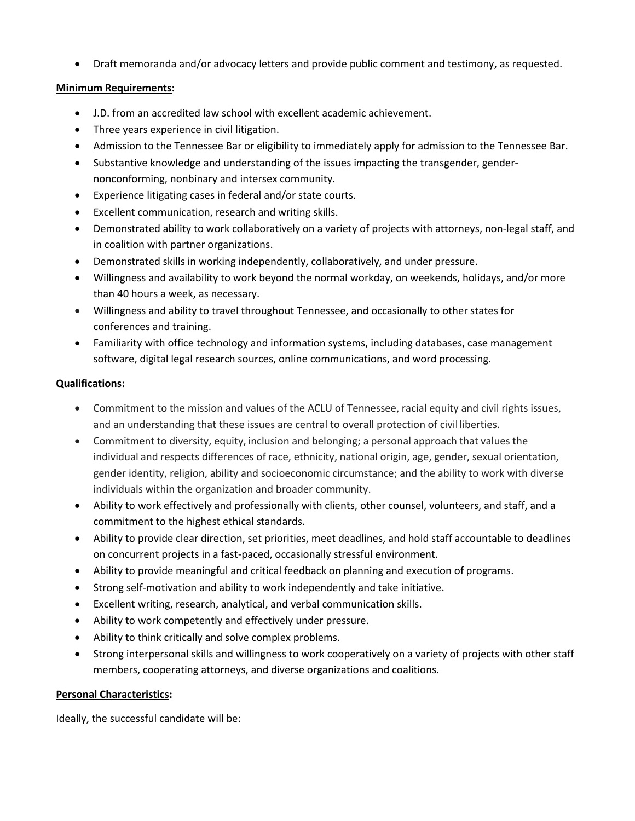• Draft memoranda and/or advocacy letters and provide public comment and testimony, as requested.

#### **Minimum Requirements:**

- J.D. from an accredited law school with excellent academic achievement.
- Three years experience in civil litigation.
- Admission to the Tennessee Bar or eligibility to immediately apply for admission to the Tennessee Bar.
- Substantive knowledge and understanding of the issues impacting the transgender, gendernonconforming, nonbinary and intersex community.
- Experience litigating cases in federal and/or state courts.
- Excellent communication, research and writing skills.
- Demonstrated ability to work collaboratively on a variety of projects with attorneys, non-legal staff, and in coalition with partner organizations.
- Demonstrated skills in working independently, collaboratively, and under pressure.
- Willingness and availability to work beyond the normal workday, on weekends, holidays, and/or more than 40 hours a week, as necessary.
- Willingness and ability to travel throughout Tennessee, and occasionally to other states for conferences and training.
- Familiarity with office technology and information systems, including databases, case management software, digital legal research sources, online communications, and word processing.

## **Qualifications:**

- Commitment to the mission and values of the ACLU of Tennessee, racial equity and civil rights issues, and an understanding that these issues are central to overall protection of civil liberties.
- Commitment to diversity, equity, inclusion and belonging; a personal approach that values the individual and respects differences of race, ethnicity, national origin, age, gender, sexual orientation, gender identity, religion, ability and socioeconomic circumstance; and the ability to work with diverse individuals within the organization and broader community.
- Ability to work effectively and professionally with clients, other counsel, volunteers, and staff, and a commitment to the highest ethical standards.
- Ability to provide clear direction, set priorities, meet deadlines, and hold staff accountable to deadlines on concurrent projects in a fast-paced, occasionally stressful environment.
- Ability to provide meaningful and critical feedback on planning and execution of programs.
- Strong self-motivation and ability to work independently and take initiative.
- Excellent writing, research, analytical, and verbal communication skills.
- Ability to work competently and effectively under pressure.
- Ability to think critically and solve complex problems.
- Strong interpersonal skills and willingness to work cooperatively on a variety of projects with other staff members, cooperating attorneys, and diverse organizations and coalitions.

#### **Personal Characteristics:**

Ideally, the successful candidate will be: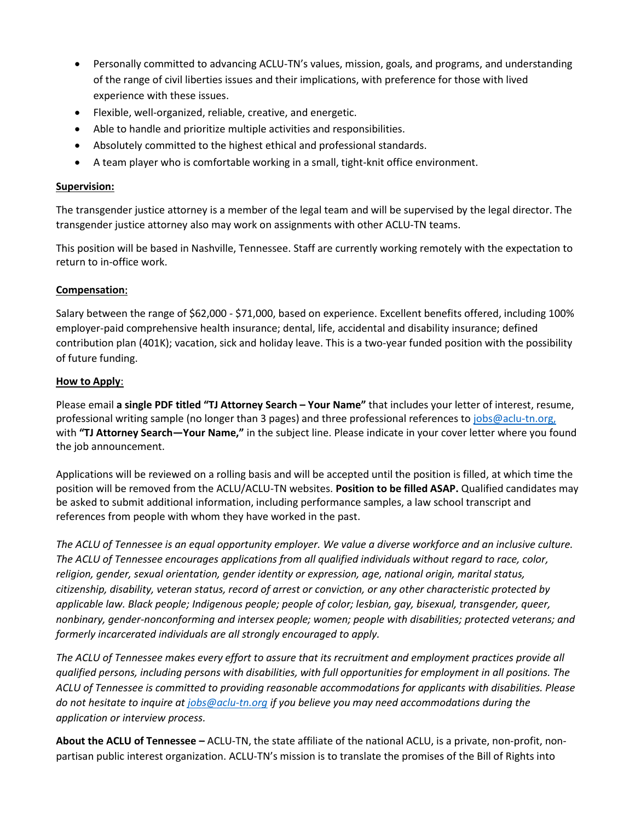- Personally committed to advancing ACLU-TN's values, mission, goals, and programs, and understanding of the range of civil liberties issues and their implications, with preference for those with lived experience with these issues.
- Flexible, well-organized, reliable, creative, and energetic.
- Able to handle and prioritize multiple activities and responsibilities.
- Absolutely committed to the highest ethical and professional standards.
- A team player who is comfortable working in a small, tight-knit office environment.

## **Supervision:**

The transgender justice attorney is a member of the legal team and will be supervised by the legal director. The transgender justice attorney also may work on assignments with other ACLU-TN teams.

This position will be based in Nashville, Tennessee. Staff are currently working remotely with the expectation to return to in-office work.

## **Compensation**:

Salary between the range of \$62,000 - \$71,000, based on experience. Excellent benefits offered, including 100% employer-paid comprehensive health insurance; dental, life, accidental and disability insurance; defined contribution plan (401K); vacation, sick and holiday leave. This is a two-year funded position with the possibility of future funding.

## **How to Apply**:

Please email **a single PDF titled "TJ Attorney Search – Your Name"** that includes your letter of interest, resume, professional writing sample (no longer than 3 pages) and three professional references t[o jobs@aclu-tn.org,](mailto:jobs@aclu-tn.org) with **"TJ Attorney Search—Your Name,"** in the subject line. Please indicate in your cover letter where you found the job announcement.

Applications will be reviewed on a rolling basis and will be accepted until the position is filled, at which time the position will be removed from the ACLU/ACLU-TN websites. **Position to be filled ASAP.** Qualified candidates may be asked to submit additional information, including performance samples, a law school transcript and references from people with whom they have worked in the past.

*The ACLU of Tennessee is an equal opportunity employer. We value a diverse workforce and an inclusive culture. The ACLU of Tennessee encourages applications from all qualified individuals without regard to race, color, religion, gender, sexual orientation, gender identity or expression, age, national origin, marital status, citizenship, disability, veteran status, record of arrest or conviction, or any other characteristic protected by applicable law. Black people; Indigenous people; people of color; lesbian, gay, bisexual, transgender, queer, nonbinary, gender-nonconforming and intersex people; women; people with disabilities; protected veterans; and formerly incarcerated individuals are all strongly encouraged to apply.*

*The ACLU of Tennessee makes every effort to assure that its recruitment and employment practices provide all qualified persons, including persons with disabilities, with full opportunities for employment in all positions. The ACLU of Tennessee is committed to providing reasonable accommodations for applicants with disabilities. Please do not hesitate to inquire at [jobs@aclu-tn.org](mailto:jobs@aclu-tn.org) if you believe you may need accommodations during the application or interview process.*

**About the ACLU of Tennessee –** ACLU-TN, the state affiliate of the national ACLU, is a private, non-profit, nonpartisan public interest organization. ACLU-TN's mission is to translate the promises of the Bill of Rights into